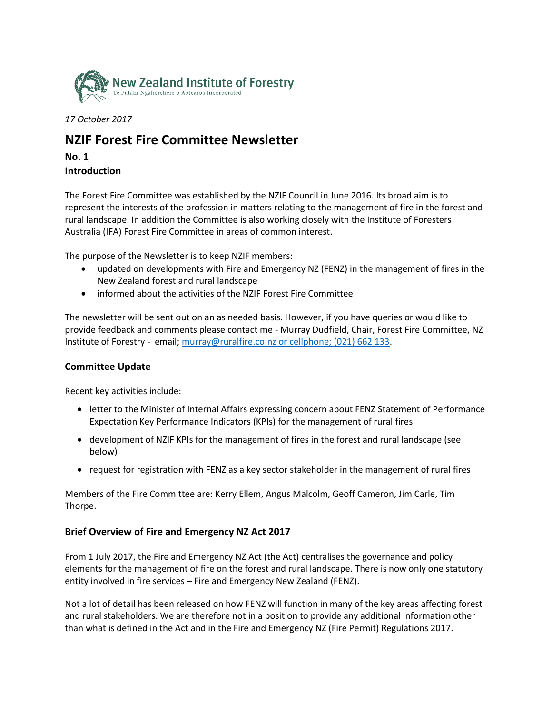

*17 October 2017*

# **NZIF Forest Fire Committee Newsletter**

**No. 1 Introduction**

The Forest Fire Committee was established by the NZIF Council in June 2016. Its broad aim is to represent the interests of the profession in matters relating to the management of fire in the forest and rural landscape. In addition the Committee is also working closely with the Institute of Foresters Australia (IFA) Forest Fire Committee in areas of common interest.

The purpose of the Newsletter is to keep NZIF members:

- updated on developments with Fire and Emergency NZ (FENZ) in the management of fires in the New Zealand forest and rural landscape
- informed about the activities of the NZIF Forest Fire Committee

The newsletter will be sent out on an as needed basis. However, if you have queries or would like to provide feedback and comments please contact me - Murray Dudfield, Chair, Forest Fire Committee, NZ Institute of Forestry - email; [murray@ruralfire.co.nz](mailto:murray@ruralfire.co.nz) or cellphone; (021) 662 133.

## **Committee Update**

Recent key activities include:

- letter to the Minister of Internal Affairs expressing concern about FENZ Statement of Performance Expectation Key Performance Indicators (KPIs) for the management of rural fires
- development of NZIF KPIs for the management of fires in the forest and rural landscape (see below)
- request for registration with FENZ as a key sector stakeholder in the management of rural fires

Members of the Fire Committee are: Kerry Ellem, Angus Malcolm, Geoff Cameron, Jim Carle, Tim Thorpe.

## **Brief Overview of Fire and Emergency NZ Act 2017**

From 1 July 2017, the Fire and Emergency NZ Act (the Act) centralises the governance and policy elements for the management of fire on the forest and rural landscape. There is now only one statutory entity involved in fire services – Fire and Emergency New Zealand (FENZ).

Not a lot of detail has been released on how FENZ will function in many of the key areas affecting forest and rural stakeholders. We are therefore not in a position to provide any additional information other than what is defined in the Act and in the Fire and Emergency NZ (Fire Permit) Regulations 2017.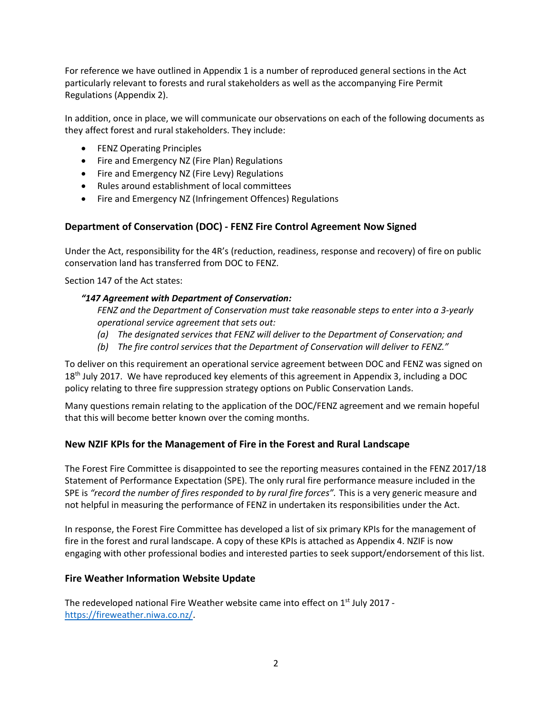For reference we have outlined in Appendix 1 is a number of reproduced general sections in the Act particularly relevant to forests and rural stakeholders as well as the accompanying Fire Permit Regulations (Appendix 2).

In addition, once in place, we will communicate our observations on each of the following documents as they affect forest and rural stakeholders. They include:

- **•** FENZ Operating Principles
- Fire and Emergency NZ (Fire Plan) Regulations
- Fire and Emergency NZ (Fire Levy) Regulations
- Rules around establishment of local committees
- Fire and Emergency NZ (Infringement Offences) Regulations

## **Department of Conservation (DOC) - FENZ Fire Control Agreement Now Signed**

Under the Act, responsibility for the 4R's (reduction, readiness, response and recovery) of fire on public conservation land has transferred from DOC to FENZ.

Section 147 of the Act states:

### *"147 Agreement with Department of Conservation:*

*FENZ and the Department of Conservation must take reasonable steps to enter into a 3-yearly operational service agreement that sets out:*

- *(a) The designated services that FENZ will deliver to the Department of Conservation; and*
- *(b) The fire control services that the Department of Conservation will deliver to FENZ."*

To deliver on this requirement an operational service agreement between DOC and FENZ was signed on 18<sup>th</sup> July 2017. We have reproduced key elements of this agreement in Appendix 3, including a DOC policy relating to three fire suppression strategy options on Public Conservation Lands.

Many questions remain relating to the application of the DOC/FENZ agreement and we remain hopeful that this will become better known over the coming months.

## **New NZIF KPIs for the Management of Fire in the Forest and Rural Landscape**

The Forest Fire Committee is disappointed to see the reporting measures contained in the FENZ 2017/18 Statement of Performance Expectation (SPE). The only rural fire performance measure included in the SPE is *"record the number of fires responded to by rural fire forces".* This is a very generic measure and not helpful in measuring the performance of FENZ in undertaken its responsibilities under the Act.

In response, the Forest Fire Committee has developed a list of six primary KPIs for the management of fire in the forest and rural landscape. A copy of these KPIs is attached as Appendix 4. NZIF is now engaging with other professional bodies and interested parties to seek support/endorsement of this list.

## **Fire Weather Information Website Update**

The redeveloped national Fire Weather website came into effect on 1<sup>st</sup> July 2017 [https://fireweather.niwa.co.nz/.](https://fireweather.niwa.co.nz/)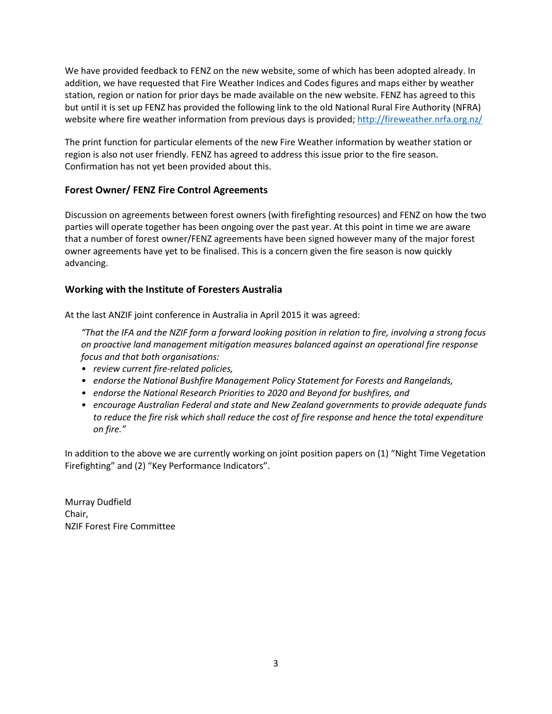We have provided feedback to FENZ on the new website, some of which has been adopted already. In addition, we have requested that Fire Weather Indices and Codes figures and maps either by weather station, region or nation for prior days be made available on the new website. FENZ has agreed to this but until it is set up FENZ has provided the following link to the old National Rural Fire Authority (NFRA) website where fire weather information from previous days is provided;<http://fireweather.nrfa.org.nz/>

The print function for particular elements of the new Fire Weather information by weather station or region is also not user friendly. FENZ has agreed to address this issue prior to the fire season. Confirmation has not yet been provided about this.

## **Forest Owner/ FENZ Fire Control Agreements**

Discussion on agreements between forest owners (with firefighting resources) and FENZ on how the two parties will operate together has been ongoing over the past year. At this point in time we are aware that a number of forest owner/FENZ agreements have been signed however many of the major forest owner agreements have yet to be finalised. This is a concern given the fire season is now quickly advancing.

## **Working with the Institute of Foresters Australia**

At the last ANZIF joint conference in Australia in April 2015 it was agreed:

*"That the IFA and the NZIF form a forward looking position in relation to fire, involving a strong focus on proactive land management mitigation measures balanced against an operational fire response focus and that both organisations:*

- *review current fire-related policies,*
- *endorse the National Bushfire Management Policy Statement for Forests and Rangelands,*
- *endorse the National Research Priorities to 2020 and Beyond for bushfires, and*
- *encourage Australian Federal and state and New Zealand governments to provide adequate funds to reduce the fire risk which shall reduce the cost of fire response and hence the total expenditure on fire."*

In addition to the above we are currently working on joint position papers on (1) "Night Time Vegetation Firefighting" and (2) "Key Performance Indicators".

Murray Dudfield Chair, NZIF Forest Fire Committee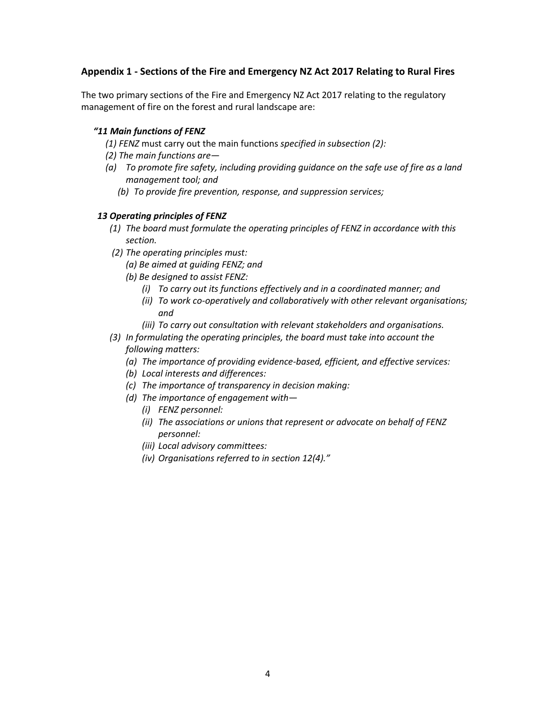## **Appendix 1 - Sections of the Fire and Emergency NZ Act 2017 Relating to Rural Fires**

The two primary sections of the Fire and Emergency NZ Act 2017 relating to the regulatory management of fire on the forest and rural landscape are:

#### *"11 Main functions of FENZ*

- *(1) FENZ* must carry out the main functions *specified in subsection (2):*
- *(2) The main functions are—*
- *(a) To promote fire safety, including providing guidance on the safe use of fire as a land management tool; and*
	- *(b) To provide fire prevention, response, and suppression services;*

#### *13 Operating principles of FENZ*

- *(1) The board must formulate the operating principles of FENZ in accordance with this section.*
- *(2) The operating principles must:*
	- *(a) Be aimed at guiding FENZ; and*
	- *(b) Be designed to assist FENZ:*
		- *(i) To carry out its functions effectively and in a coordinated manner; and*
		- *(ii) To work co-operatively and collaboratively with other relevant organisations; and*
		- *(iii) To carry out consultation with relevant stakeholders and organisations.*
- *(3) In formulating the operating principles, the board must take into account the following matters:*
	- *(a) The importance of providing evidence-based, efficient, and effective services:*
	- *(b) Local interests and differences:*
	- *(c) The importance of transparency in decision making:*
	- *(d) The importance of engagement with—*
		- *(i) FENZ personnel:*
		- *(ii) The associations or unions that represent or advocate on behalf of FENZ personnel:*
		- *(iii) Local advisory committees:*
		- *(iv) Organisations referred to in section 12(4)."*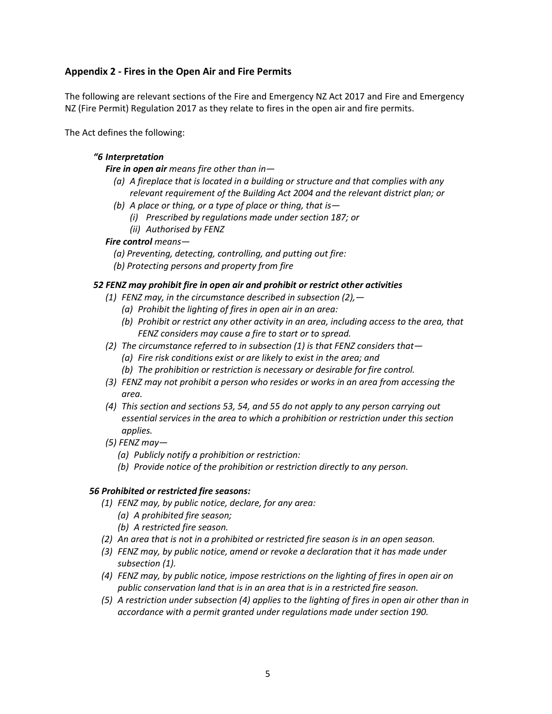## **Appendix 2 - Fires in the Open Air and Fire Permits**

The following are relevant sections of the Fire and Emergency NZ Act 2017 and Fire and Emergency NZ (Fire Permit) Regulation 2017 as they relate to fires in the open air and fire permits.

The Act defines the following:

#### *"6 Interpretation*

#### *Fire in open air means fire other than in—*

- *(a) A fireplace that is located in a building or structure and that complies with any relevant requirement of the Building Act 2004 and the relevant district plan; or*
- *(b) A place or thing, or a type of place or thing, that is—*
	- *(i) Prescribed by regulations made under section 187; or*
	- *(ii) Authorised by FENZ*

#### *Fire control means—*

- *(a) Preventing, detecting, controlling, and putting out fire:*
- *(b) Protecting persons and property from fire*

#### *52 FENZ may prohibit fire in open air and prohibit or restrict other activities*

- *(1) FENZ may, in the circumstance described in subsection (2),—*
	- *(a) Prohibit the lighting of fires in open air in an area:*
	- *(b) Prohibit or restrict any other activity in an area, including access to the area, that FENZ considers may cause a fire to start or to spread.*
- *(2) The circumstance referred to in subsection (1) is that FENZ considers that—*
	- *(a) Fire risk conditions exist or are likely to exist in the area; and*
	- *(b) The prohibition or restriction is necessary or desirable for fire control.*
- *(3) FENZ may not prohibit a person who resides or works in an area from accessing the area.*
- *(4) This section and sections 53, 54, and 55 do not apply to any person carrying out essential services in the area to which a prohibition or restriction under this section applies.*
- *(5) FENZ may—*
	- *(a) Publicly notify a prohibition or restriction:*
	- *(b) Provide notice of the prohibition or restriction directly to any person.*

#### *56 Prohibited or restricted fire seasons:*

- *(1) FENZ may, by public notice, declare, for any area:*
	- *(a) A prohibited fire season;*
	- *(b) A restricted fire season.*
- *(2) An area that is not in a prohibited or restricted fire season is in an open season.*
- *(3) FENZ may, by public notice, amend or revoke a declaration that it has made under subsection (1).*
- *(4) FENZ may, by public notice, impose restrictions on the lighting of fires in open air on public conservation land that is in an area that is in a restricted fire season.*
- *(5) A restriction under subsection (4) applies to the lighting of fires in open air other than in accordance with a permit granted under regulations made under section 190.*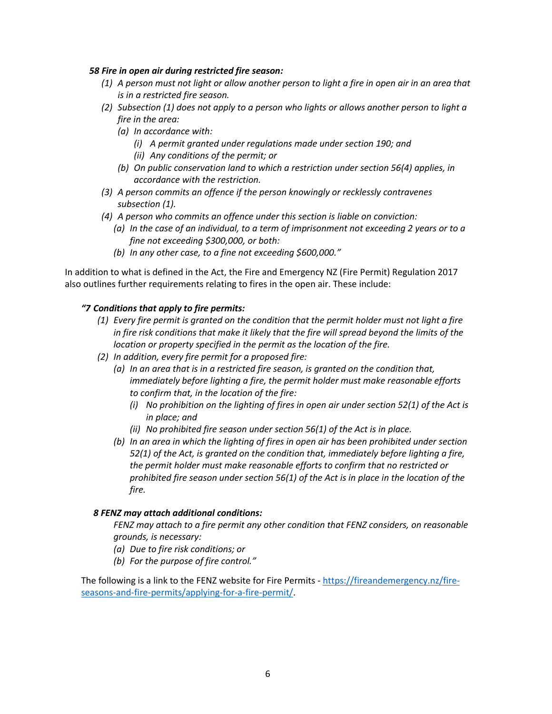#### *58 Fire in open air during restricted fire season:*

- *(1) A person must not light or allow another person to light a fire in open air in an area that is in a restricted fire season.*
- *(2) Subsection (1) does not apply to a person who lights or allows another person to light a fire in the area:*
	- *(a) In accordance with:*
		- *(i) A permit granted under regulations made under section 190; and*
		- *(ii) Any conditions of the permit; or*
	- *(b) On public conservation land to which a restriction under section 56(4) applies, in accordance with the restriction.*
- *(3) A person commits an offence if the person knowingly or recklessly contravenes subsection (1).*
- *(4) A person who commits an offence under this section is liable on conviction:*
	- *(a) In the case of an individual, to a term of imprisonment not exceeding 2 years or to a fine not exceeding \$300,000, or both:*
	- *(b) In any other case, to a fine not exceeding \$600,000."*

In addition to what is defined in the Act, the Fire and Emergency NZ (Fire Permit) Regulation 2017 also outlines further requirements relating to fires in the open air. These include:

## *"7 Conditions that apply to fire permits:*

- *(1) Every fire permit is granted on the condition that the permit holder must not light a fire in fire risk conditions that make it likely that the fire will spread beyond the limits of the location or property specified in the permit as the location of the fire.*
- *(2) In addition, every fire permit for a proposed fire:*
	- *(a) In an area that is in a restricted fire season, is granted on the condition that, immediately before lighting a fire, the permit holder must make reasonable efforts to confirm that, in the location of the fire:*
		- *(i) No prohibition on the lighting of fires in open air under section 52(1) of the Act is in place; and*
		- *(ii) No prohibited fire season under section 56(1) of the Act is in place.*
	- *(b) In an area in which the lighting of fires in open air has been prohibited under section 52(1) of the Act, is granted on the condition that, immediately before lighting a fire, the permit holder must make reasonable efforts to confirm that no restricted or prohibited fire season under section 56(1) of the Act is in place in the location of the fire.*

## *8 FENZ may attach additional conditions:*

*FENZ may attach to a fire permit any other condition that FENZ considers, on reasonable grounds, is necessary:*

- *(a) Due to fire risk conditions; or*
- *(b) For the purpose of fire control."*

The following is a link to the FENZ website for Fire Permits - [https://fireandemergency.nz/fire](https://fireandemergency.nz/fire-seasons-and-fire-permits/applying-for-a-fire-permit/)[seasons-and-fire-permits/applying-for-a-fire-permit/.](https://fireandemergency.nz/fire-seasons-and-fire-permits/applying-for-a-fire-permit/)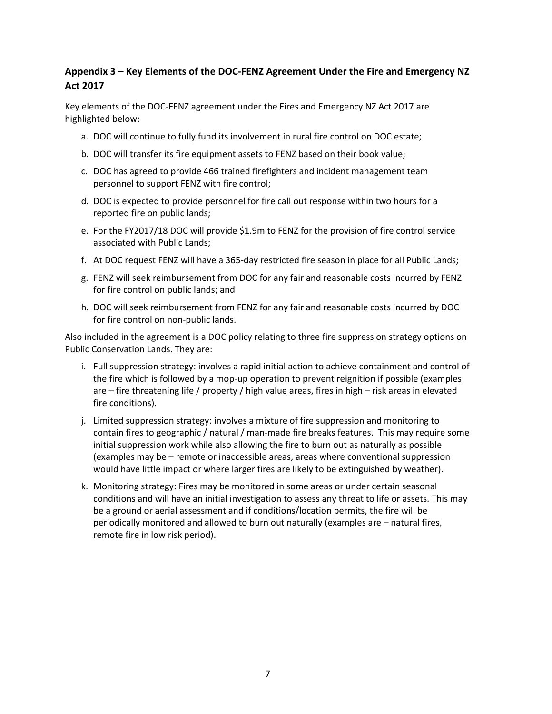## **Appendix 3 – Key Elements of the DOC-FENZ Agreement Under the Fire and Emergency NZ Act 2017**

Key elements of the DOC-FENZ agreement under the Fires and Emergency NZ Act 2017 are highlighted below:

- a. DOC will continue to fully fund its involvement in rural fire control on DOC estate;
- b. DOC will transfer its fire equipment assets to FENZ based on their book value;
- c. DOC has agreed to provide 466 trained firefighters and incident management team personnel to support FENZ with fire control;
- d. DOC is expected to provide personnel for fire call out response within two hours for a reported fire on public lands;
- e. For the FY2017/18 DOC will provide \$1.9m to FENZ for the provision of fire control service associated with Public Lands;
- f. At DOC request FENZ will have a 365-day restricted fire season in place for all Public Lands;
- g. FENZ will seek reimbursement from DOC for any fair and reasonable costs incurred by FENZ for fire control on public lands; and
- h. DOC will seek reimbursement from FENZ for any fair and reasonable costs incurred by DOC for fire control on non-public lands.

Also included in the agreement is a DOC policy relating to three fire suppression strategy options on Public Conservation Lands. They are:

- i. Full suppression strategy: involves a rapid initial action to achieve containment and control of the fire which is followed by a mop-up operation to prevent reignition if possible (examples are – fire threatening life / property / high value areas, fires in high – risk areas in elevated fire conditions).
- j. Limited suppression strategy: involves a mixture of fire suppression and monitoring to contain fires to geographic / natural / man-made fire breaks features. This may require some initial suppression work while also allowing the fire to burn out as naturally as possible (examples may be – remote or inaccessible areas, areas where conventional suppression would have little impact or where larger fires are likely to be extinguished by weather).
- k. Monitoring strategy: Fires may be monitored in some areas or under certain seasonal conditions and will have an initial investigation to assess any threat to life or assets. This may be a ground or aerial assessment and if conditions/location permits, the fire will be periodically monitored and allowed to burn out naturally (examples are – natural fires, remote fire in low risk period).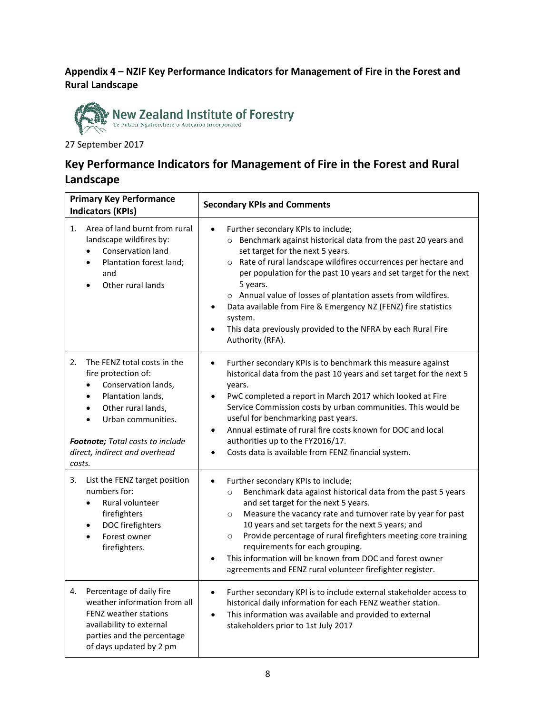## **Appendix 4 – NZIF Key Performance Indicators for Management of Fire in the Forest and Rural Landscape**



27 September 2017

## **Key Performance Indicators for Management of Fire in the Forest and Rural Landscape**

| <b>Primary Key Performance</b><br><b>Indicators (KPIs)</b>                                                                                                                                                                                   | <b>Secondary KPIs and Comments</b>                                                                                                                                                                                                                                                                                                                                                                                                                                                                                                          |
|----------------------------------------------------------------------------------------------------------------------------------------------------------------------------------------------------------------------------------------------|---------------------------------------------------------------------------------------------------------------------------------------------------------------------------------------------------------------------------------------------------------------------------------------------------------------------------------------------------------------------------------------------------------------------------------------------------------------------------------------------------------------------------------------------|
| Area of land burnt from rural<br>1.<br>landscape wildfires by:<br>Conservation land<br>$\bullet$<br>Plantation forest land;<br>$\bullet$<br>and<br>Other rural lands                                                                         | Further secondary KPIs to include;<br>o Benchmark against historical data from the past 20 years and<br>set target for the next 5 years.<br>o Rate of rural landscape wildfires occurrences per hectare and<br>per population for the past 10 years and set target for the next<br>5 years.<br>o Annual value of losses of plantation assets from wildfires.<br>Data available from Fire & Emergency NZ (FENZ) fire statistics<br>system.<br>This data previously provided to the NFRA by each Rural Fire<br>Authority (RFA).               |
| 2.<br>The FENZ total costs in the<br>fire protection of:<br>Conservation lands,<br>Plantation lands,<br>Other rural lands,<br>$\bullet$<br>Urban communities.<br>Footnote; Total costs to include<br>direct, indirect and overhead<br>costs. | Further secondary KPIs is to benchmark this measure against<br>$\bullet$<br>historical data from the past 10 years and set target for the next 5<br>years.<br>PwC completed a report in March 2017 which looked at Fire<br>$\bullet$<br>Service Commission costs by urban communities. This would be<br>useful for benchmarking past years.<br>Annual estimate of rural fire costs known for DOC and local<br>$\bullet$<br>authorities up to the FY2016/17.<br>Costs data is available from FENZ financial system.                          |
| 3.<br>List the FENZ target position<br>numbers for:<br>Rural volunteer<br>firefighters<br>DOC firefighters<br>$\bullet$<br>Forest owner<br>firefighters.                                                                                     | Further secondary KPIs to include;<br>$\bullet$<br>Benchmark data against historical data from the past 5 years<br>$\circ$<br>and set target for the next 5 years.<br>Measure the vacancy rate and turnover rate by year for past<br>$\circ$<br>10 years and set targets for the next 5 years; and<br>Provide percentage of rural firefighters meeting core training<br>$\circ$<br>requirements for each grouping.<br>This information will be known from DOC and forest owner<br>agreements and FENZ rural volunteer firefighter register. |
| Percentage of daily fire<br>4.<br>weather information from all<br><b>FENZ weather stations</b><br>availability to external<br>parties and the percentage<br>of days updated by 2 pm                                                          | Further secondary KPI is to include external stakeholder access to<br>$\bullet$<br>historical daily information for each FENZ weather station.<br>This information was available and provided to external<br>$\bullet$<br>stakeholders prior to 1st July 2017                                                                                                                                                                                                                                                                               |